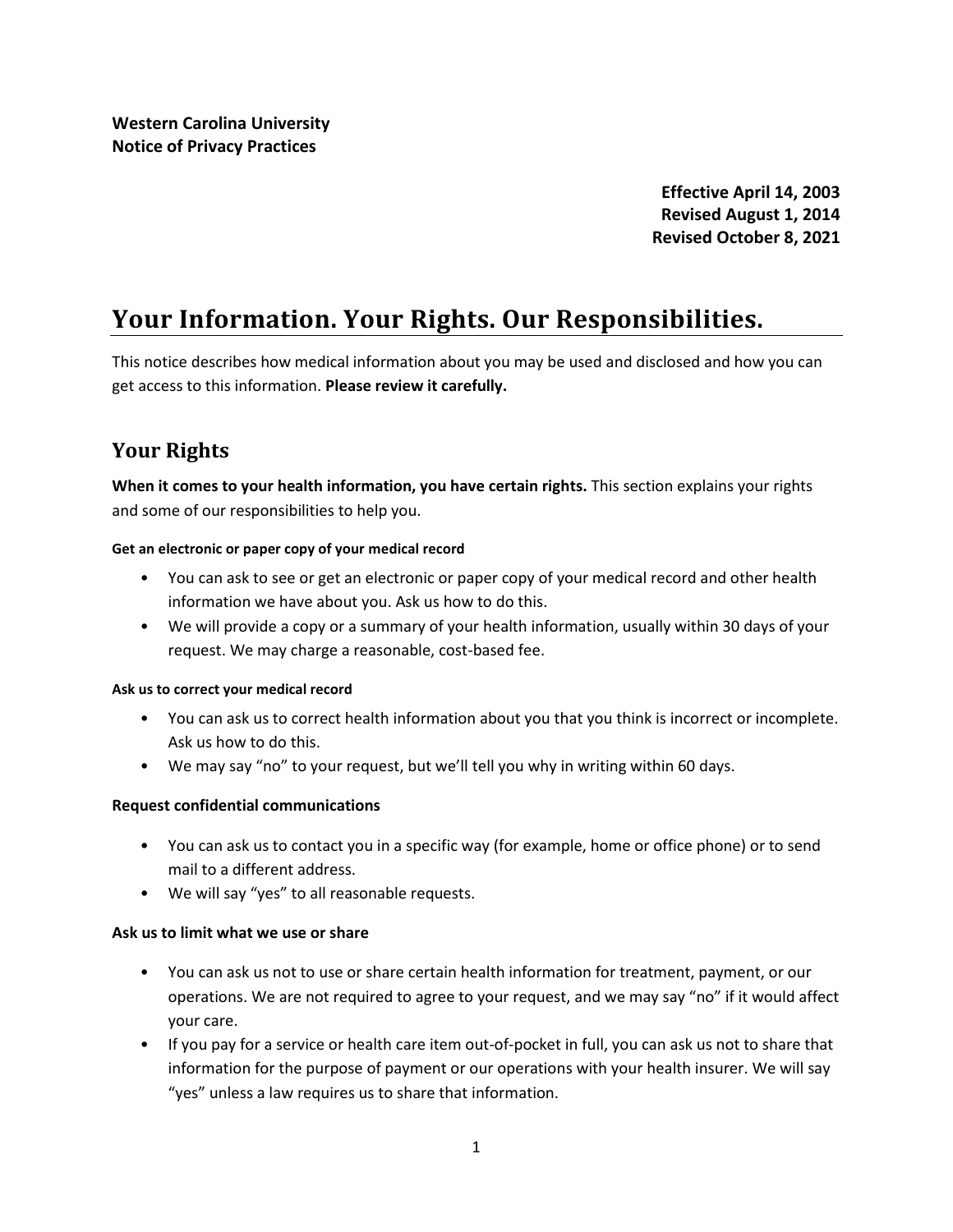**Effective April 14, 2003 Revised August 1, 2014 Revised October 8, 2021**

# **Your Information. Your Rights. Our Responsibilities.**

This notice describes how medical information about you may be used and disclosed and how you can get access to this information. **Please review it carefully.**

# **Your Rights**

**When it comes to your health information, you have certain rights.** This section explains your rights and some of our responsibilities to help you.

#### **Get an electronic or paper copy of your medical record**

- You can ask to see or get an electronic or paper copy of your medical record and other health information we have about you. Ask us how to do this.
- We will provide a copy or a summary of your health information, usually within 30 days of your request. We may charge a reasonable, cost-based fee.

#### **Ask us to correct your medical record**

- You can ask us to correct health information about you that you think is incorrect or incomplete. Ask us how to do this.
- We may say "no" to your request, but we'll tell you why in writing within 60 days.

#### **Request confidential communications**

- You can ask us to contact you in a specific way (for example, home or office phone) or to send mail to a different address.
- We will say "yes" to all reasonable requests.

#### **Ask us to limit what we use or share**

- You can ask us not to use or share certain health information for treatment, payment, or our operations. We are not required to agree to your request, and we may say "no" if it would affect your care.
- If you pay for a service or health care item out-of-pocket in full, you can ask us not to share that information for the purpose of payment or our operations with your health insurer. We will say "yes" unless a law requires us to share that information.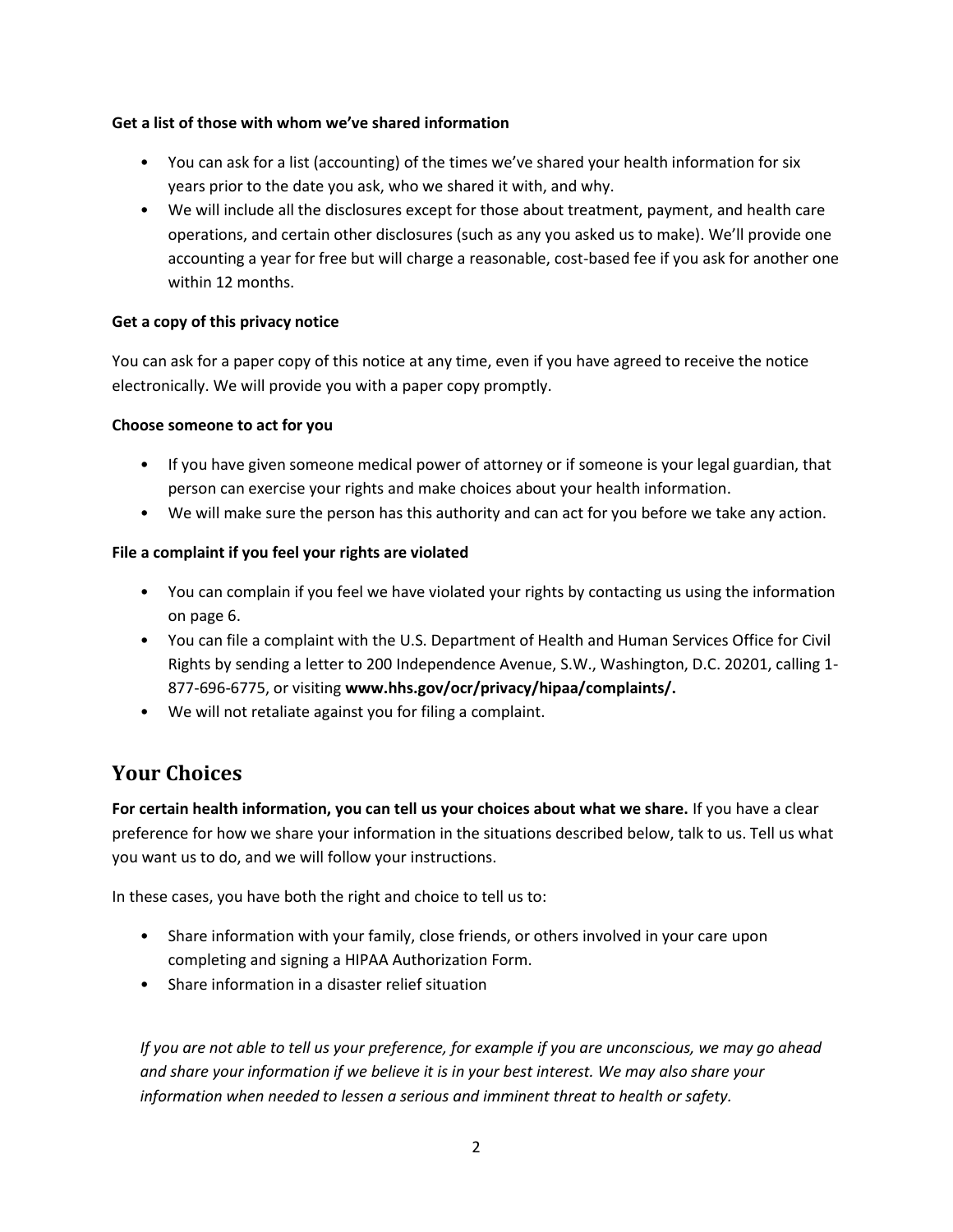#### **Get a list of those with whom we've shared information**

- You can ask for a list (accounting) of the times we've shared your health information for six years prior to the date you ask, who we shared it with, and why.
- We will include all the disclosures except for those about treatment, payment, and health care operations, and certain other disclosures (such as any you asked us to make). We'll provide one accounting a year for free but will charge a reasonable, cost-based fee if you ask for another one within 12 months.

#### **Get a copy of this privacy notice**

You can ask for a paper copy of this notice at any time, even if you have agreed to receive the notice electronically. We will provide you with a paper copy promptly.

#### **Choose someone to act for you**

- If you have given someone medical power of attorney or if someone is your legal guardian, that person can exercise your rights and make choices about your health information.
- We will make sure the person has this authority and can act for you before we take any action.

#### **File a complaint if you feel your rights are violated**

- You can complain if you feel we have violated your rights by contacting us using the information on page 6.
- You can file a complaint with the U.S. Department of Health and Human Services Office for Civil Rights by sending a letter to 200 Independence Avenue, S.W., Washington, D.C. 20201, calling 1- 877-696-6775, or visiting **www.hhs.gov/ocr/privacy/hipaa/complaints/.**
- We will not retaliate against you for filing a complaint.

### **Your Choices**

**For certain health information, you can tell us your choices about what we share.** If you have a clear preference for how we share your information in the situations described below, talk to us. Tell us what you want us to do, and we will follow your instructions.

In these cases, you have both the right and choice to tell us to:

- Share information with your family, close friends, or others involved in your care upon completing and signing a HIPAA Authorization Form.
- Share information in a disaster relief situation

*If you are not able to tell us your preference, for example if you are unconscious, we may go ahead and share your information if we believe it is in your best interest. We may also share your information when needed to lessen a serious and imminent threat to health or safety.*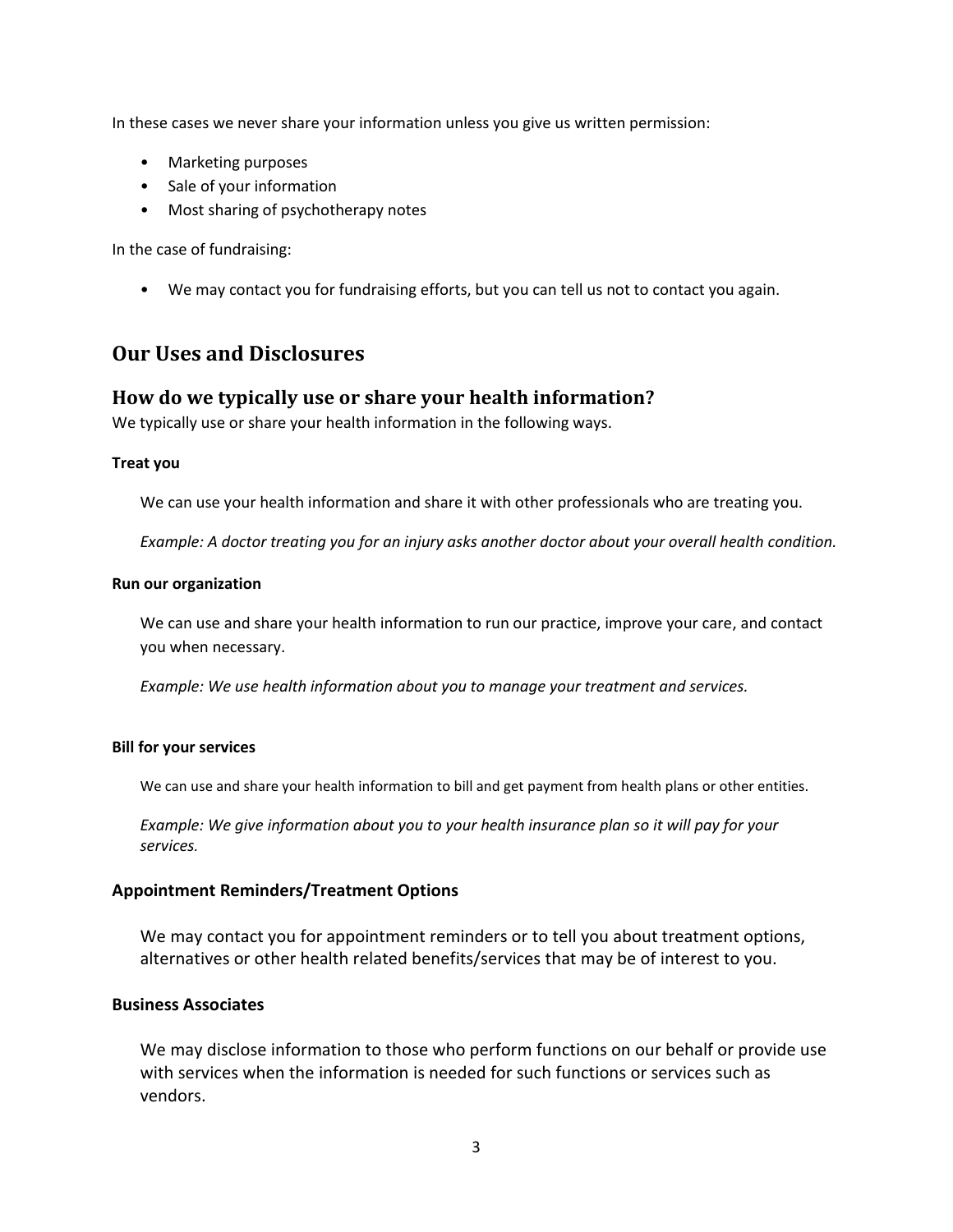In these cases we never share your information unless you give us written permission:

- Marketing purposes
- Sale of your information
- Most sharing of psychotherapy notes

In the case of fundraising:

• We may contact you for fundraising efforts, but you can tell us not to contact you again.

### **Our Uses and Disclosures**

#### **How do we typically use or share your health information?**

We typically use or share your health information in the following ways.

#### **Treat you**

We can use your health information and share it with other professionals who are treating you.

*Example: A doctor treating you for an injury asks another doctor about your overall health condition.*

#### **Run our organization**

We can use and share your health information to run our practice, improve your care, and contact you when necessary.

*Example: We use health information about you to manage your treatment and services.* 

#### **Bill for your services**

We can use and share your health information to bill and get payment from health plans or other entities.

*Example: We give information about you to your health insurance plan so it will pay for your services.* 

#### **Appointment Reminders/Treatment Options**

We may contact you for appointment reminders or to tell you about treatment options, alternatives or other health related benefits/services that may be of interest to you.

#### **Business Associates**

We may disclose information to those who perform functions on our behalf or provide use with services when the information is needed for such functions or services such as vendors.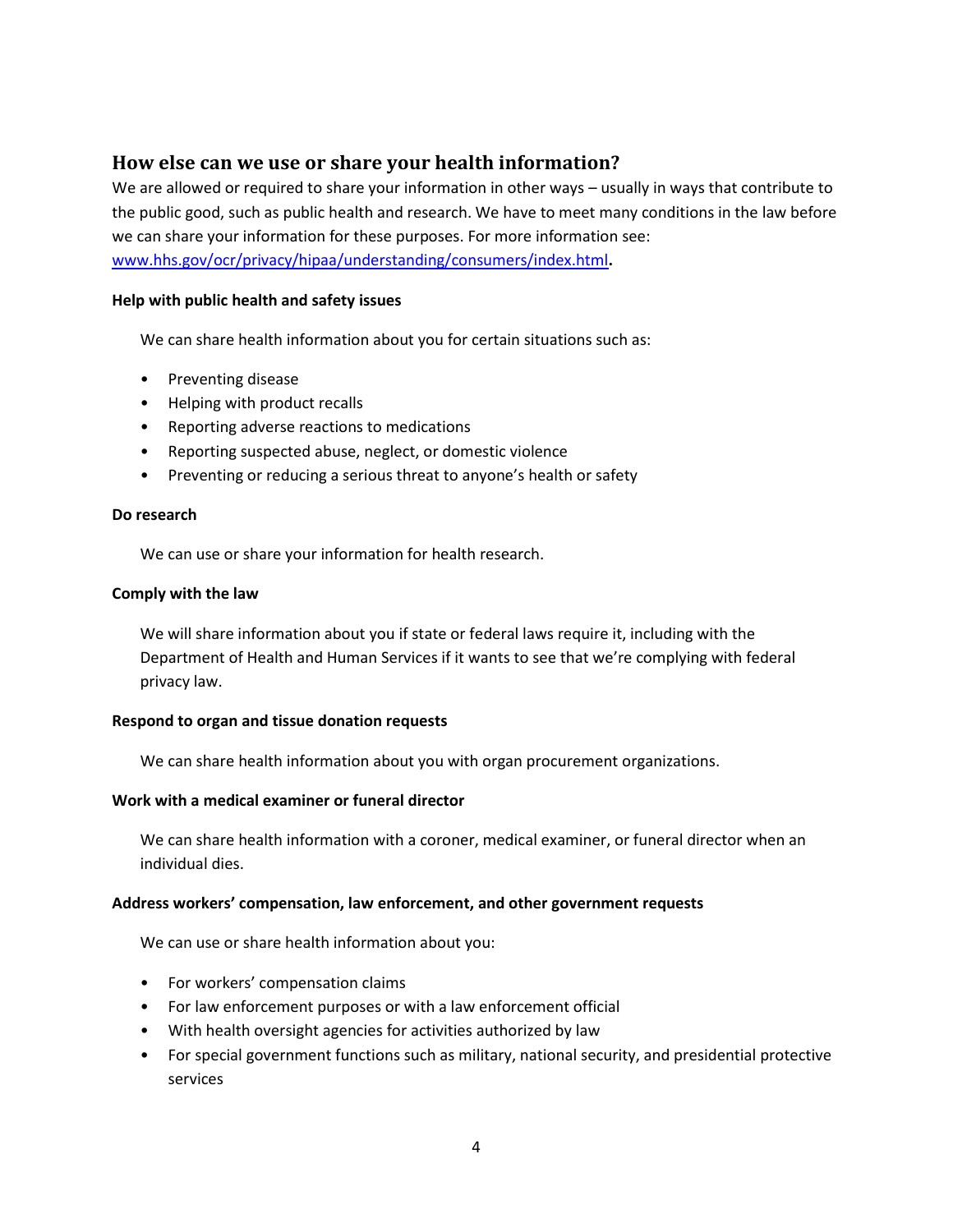### **How else can we use or share your health information?**

We are allowed or required to share your information in other ways – usually in ways that contribute to the public good, such as public health and research. We have to meet many conditions in the law before we can share your information for these purposes. For more information see: [www.hhs.gov/ocr/privacy/hipaa/understanding/consumers/index.html](http://www.hhs.gov/ocr/privacy/hipaa/understanding/consumers/index.html)**.**

#### **Help with public health and safety issues**

We can share health information about you for certain situations such as:

- Preventing disease
- Helping with product recalls
- Reporting adverse reactions to medications
- Reporting suspected abuse, neglect, or domestic violence
- Preventing or reducing a serious threat to anyone's health or safety

#### **Do research**

We can use or share your information for health research.

#### **Comply with the law**

We will share information about you if state or federal laws require it, including with the Department of Health and Human Services if it wants to see that we're complying with federal privacy law.

#### **Respond to organ and tissue donation requests**

We can share health information about you with organ procurement organizations.

#### **Work with a medical examiner or funeral director**

We can share health information with a coroner, medical examiner, or funeral director when an individual dies.

#### **Address workers' compensation, law enforcement, and other government requests**

We can use or share health information about you:

- For workers' compensation claims
- For law enforcement purposes or with a law enforcement official
- With health oversight agencies for activities authorized by law
- For special government functions such as military, national security, and presidential protective services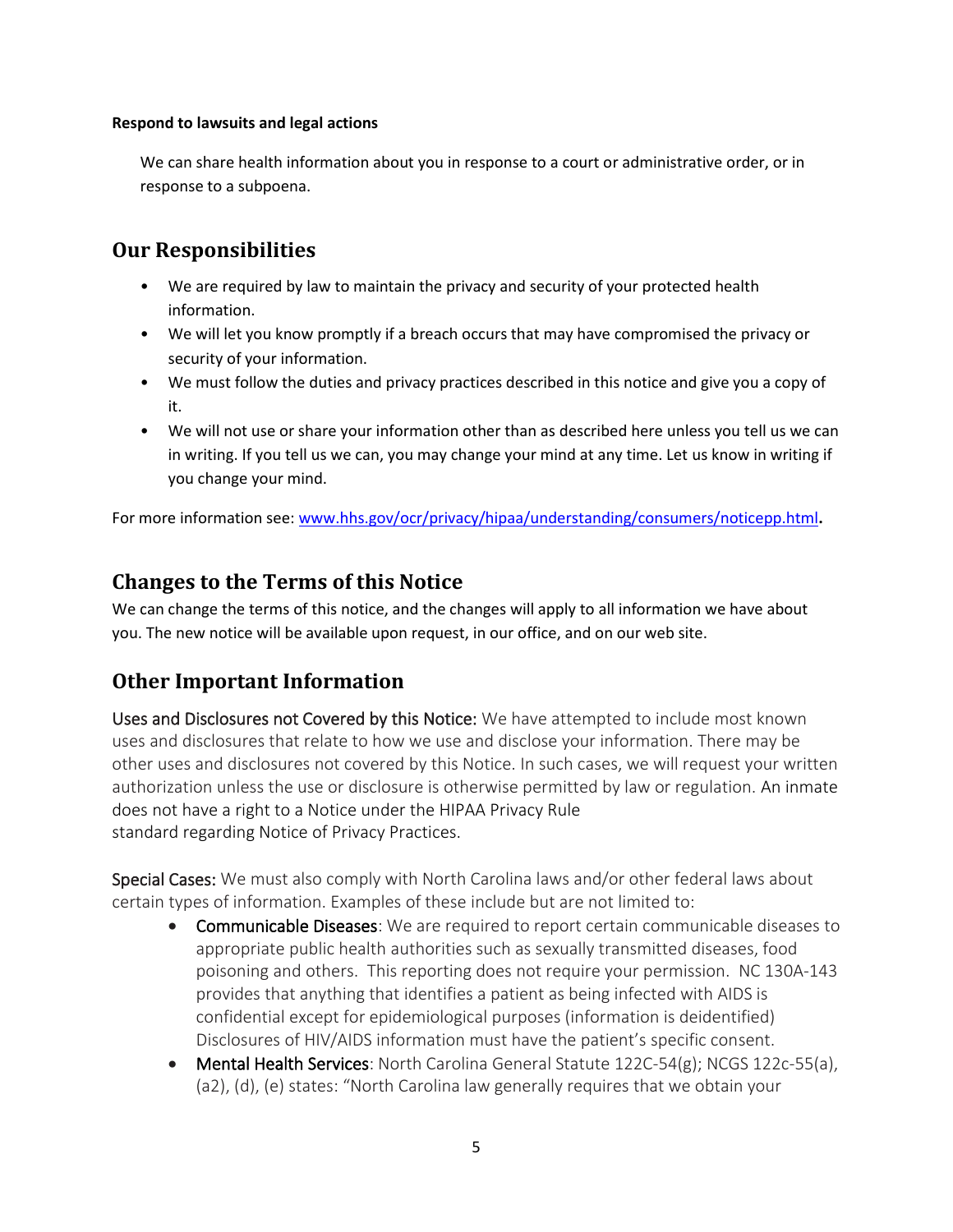#### **Respond to lawsuits and legal actions**

We can share health information about you in response to a court or administrative order, or in response to a subpoena.

# **Our Responsibilities**

- We are required by law to maintain the privacy and security of your protected health information.
- We will let you know promptly if a breach occurs that may have compromised the privacy or security of your information.
- We must follow the duties and privacy practices described in this notice and give you a copy of it.
- We will not use or share your information other than as described here unless you tell us we can in writing. If you tell us we can, you may change your mind at any time. Let us know in writing if you change your mind.

For more information see: [www.hhs.gov/ocr/privacy/hipaa/understanding/consumers/noticepp.html](http://www.hhs.gov/ocr/privacy/hipaa/understanding/consumers/noticepp.html)**.**

## **Changes to the Terms of this Notice**

We can change the terms of this notice, and the changes will apply to all information we have about you. The new notice will be available upon request, in our office, and on our web site.

# **Other Important Information**

Uses and Disclosures not Covered by this Notice: We have attempted to include most known uses and disclosures that relate to how we use and disclose your information. There may be other uses and disclosures not covered by this Notice. In such cases, we will request your written authorization unless the use or disclosure is otherwise permitted by law or regulation. An inmate does not have a right to a Notice under the HIPAA Privacy Rule standard regarding Notice of Privacy Practices.

Special Cases: We must also comply with North Carolina laws and/or other federal laws about certain types of information. Examples of these include but are not limited to:

- Communicable Diseases: We are required to report certain communicable diseases to appropriate public health authorities such as sexually transmitted diseases, food poisoning and others. This reporting does not require your permission. NC 130A-143 provides that anything that identifies a patient as being infected with AIDS is confidential except for epidemiological purposes (information is deidentified) Disclosures of HIV/AIDS information must have the patient's specific consent.
- Mental Health Services: North Carolina General Statute  $122C-54(g)$ ; NCGS  $122c-55(a)$ , (a2), (d), (e) states: "North Carolina law generally requires that we obtain your